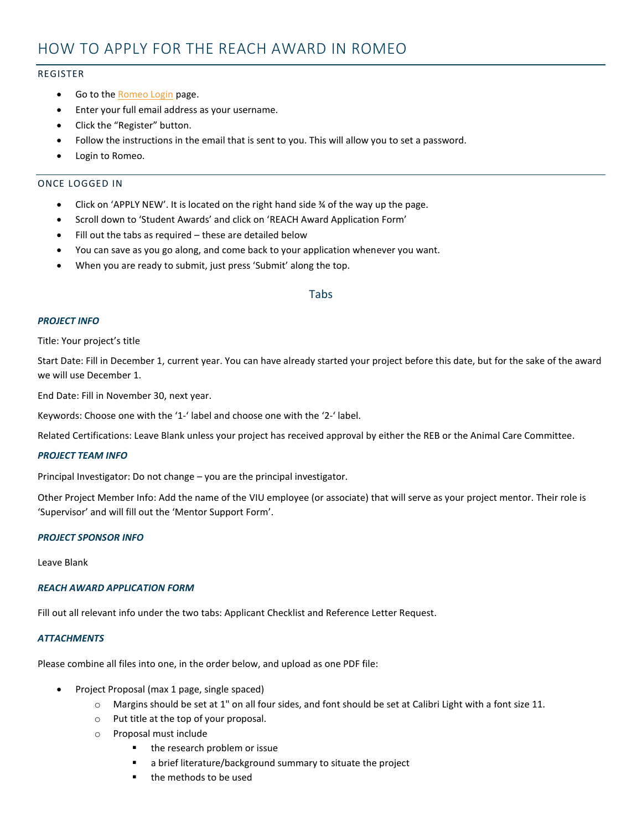# HOW TO APPLY FOR THE REACH AWARD IN ROMEO

# REGISTER

- Go to the **Romeo Login** page.
- Enter your full email address as your username.
- Click the "Register" button.
- Follow the instructions in the email that is sent to you. This will allow you to set a password.
- Login to Romeo.

# ONCE LOGGED IN

- Click on 'APPLY NEW'. It is located on the right hand side  $\frac{3}{4}$  of the way up the page.
- Scroll down to 'Student Awards' and click on 'REACH Award Application Form'
- Fill out the tabs as required these are detailed below
- You can save as you go along, and come back to your application whenever you want.
- When you are ready to submit, just press 'Submit' along the top.

# Tabs

# *PROJECT INFO*

#### Title: Your project's title

Start Date: Fill in December 1, current year. You can have already started your project before this date, but for the sake of the award we will use December 1.

End Date: Fill in November 30, next year.

Keywords: Choose one with the '1-' label and choose one with the '2-' label.

Related Certifications: Leave Blank unless your project has received approval by either the REB or the Animal Care Committee.

#### *PROJECT TEAM INFO*

Principal Investigator: Do not change – you are the principal investigator.

Other Project Member Info: Add the name of the VIU employee (or associate) that will serve as your project mentor. Their role is 'Supervisor' and will fill out the 'Mentor Support Form'.

#### *PROJECT SPONSOR INFO*

Leave Blank

# *REACH AWARD APPLICATION FORM*

Fill out all relevant info under the two tabs: Applicant Checklist and Reference Letter Request.

#### *ATTACHMENTS*

Please combine all files into one, in the order below, and upload as one PDF file:

- Project Proposal (max 1 page, single spaced)
	- o Margins should be set at 1" on all four sides, and font should be set at Calibri Light with a font size 11.
	- o Put title at the top of your proposal.
	- o Proposal must include
		- the research problem or issue
		- a brief literature/background summary to situate the project
		- the methods to be used